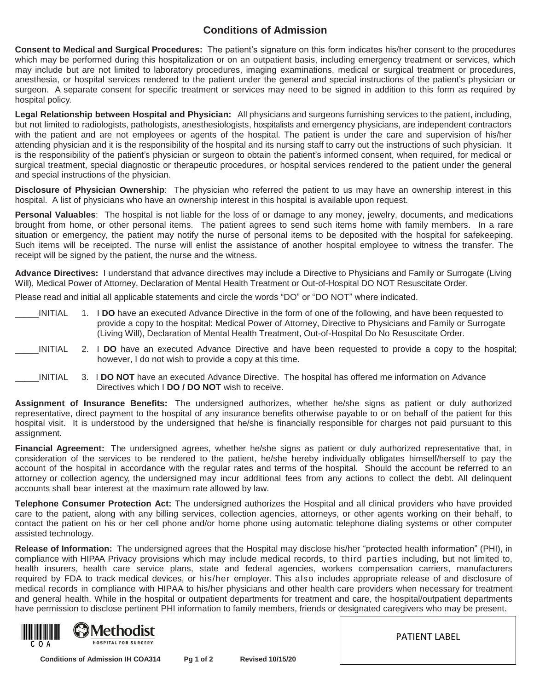## **Conditions of Admission**

**Consent to Medical and Surgical Procedures:** The patient's signature on this form indicates his/her consent to the procedures which may be performed during this hospitalization or on an outpatient basis, including emergency treatment or services, which may include but are not limited to laboratory procedures, imaging examinations, medical or surgical treatment or procedures, anesthesia, or hospital services rendered to the patient under the general and special instructions of the patient's physician or surgeon. A separate consent for specific treatment or services may need to be signed in addition to this form as required by hospital policy.

**Legal Relationship between Hospital and Physician:** All physicians and surgeons furnishing services to the patient, including, but not limited to radiologists, pathologists, anesthesiologists, hospitalists and emergency physicians, are independent contractors with the patient and are not employees or agents of the hospital. The patient is under the care and supervision of his/her attending physician and it is the responsibility of the hospital and its nursing staff to carry out the instructions of such physician. It is the responsibility of the patient's physician or surgeon to obtain the patient's informed consent, when required, for medical or surgical treatment, special diagnostic or therapeutic procedures, or hospital services rendered to the patient under the general and special instructions of the physician.

**Disclosure of Physician Ownership**: The physician who referred the patient to us may have an ownership interest in this hospital. A list of physicians who have an ownership interest in this hospital is available upon request.

**Personal Valuables**: The hospital is not liable for the loss of or damage to any money, jewelry, documents, and medications brought from home, or other personal items. The patient agrees to send such items home with family members. In a rare situation or emergency, the patient may notify the nurse of personal items to be deposited with the hospital for safekeeping. Such items will be receipted. The nurse will enlist the assistance of another hospital employee to witness the transfer. The receipt will be signed by the patient, the nurse and the witness.

**Advance Directives:** I understand that advance directives may include a Directive to Physicians and Family or Surrogate (Living Will), Medical Power of Attorney, Declaration of Mental Health Treatment or Out-of-Hospital DO NOT Resuscitate Order.

Please read and initial all applicable statements and circle the words "DO" or "DO NOT" where indicated.

|  | <b>INITIAL</b> | 1. I DO have an executed Advance Directive in the form of one of the following, and have been requested to |
|--|----------------|------------------------------------------------------------------------------------------------------------|
|  |                | provide a copy to the hospital: Medical Power of Attorney, Directive to Physicians and Family or Surrogate |
|  |                | (Living Will), Declaration of Mental Health Treatment, Out-of-Hospital Do No Resuscitate Order.            |

- \_\_\_\_\_INITIAL 2. I **DO** have an executed Advance Directive and have been requested to provide a copy to the hospital; however, I do not wish to provide a copy at this time.
- \_\_\_\_\_INITIAL 3. I **DO NOT** have an executed Advance Directive. The hospital has offered me information on Advance Directives which I **DO / DO NOT** wish to receive.

**Assignment of Insurance Benefits:** The undersigned authorizes, whether he/she signs as patient or duly authorized representative, direct payment to the hospital of any insurance benefits otherwise payable to or on behalf of the patient for this hospital visit. It is understood by the undersigned that he/she is financially responsible for charges not paid pursuant to this assignment.

**Financial Agreement:** The undersigned agrees, whether he/she signs as patient or duly authorized representative that, in consideration of the services to be rendered to the patient, he/she hereby individually obligates himself/herself to pay the account of the hospital in accordance with the regular rates and terms of the hospital. Should the account be referred to an attorney or collection agency, the undersigned may incur additional fees from any actions to collect the debt. All delinquent accounts shall bear interest at the maximum rate allowed by law.

**Telephone Consumer Protection Act:** The undersigned authorizes the Hospital and all clinical providers who have provided care to the patient, along with any billing services, collection agencies, attorneys, or other agents working on their behalf, to contact the patient on his or her cell phone and/or home phone using automatic telephone dialing systems or other computer assisted technology.

**Release of Information:** The undersigned agrees that the Hospital may disclose his/her "protected health information" (PHI), in compliance with HIPAA Privacy provisions which may include medical records, to third parties including, but not limited to, health insurers, health care service plans, state and federal agencies, workers compensation carriers, manufacturers required by FDA to track medical devices, or his/her employer. This also includes appropriate release of and disclosure of medical records in compliance with HIPAA to his/her physicians and other health care providers when necessary for treatment and general health. While in the hospital or outpatient departments for treatment and care, the hospital/outpatient departments have permission to disclose pertinent PHI information to family members, friends or designated caregivers who may be present.



PATIENT LABEL

 **Conditions of Admission IH COA314 Pg 1 of 2 Revised 10/15/20**